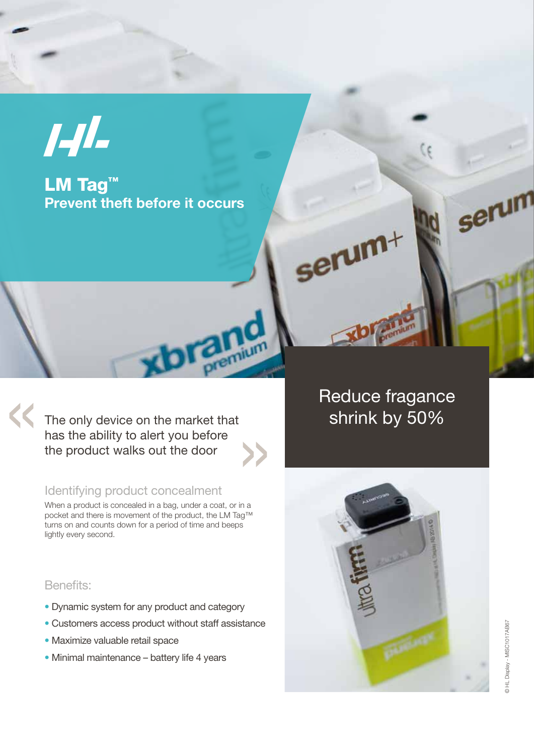

LM Tag<sup>™</sup> Prevent theft before it occurs

The only device on the market that has the ability to alert you before the product walks out the door

**Thium** 

## Identifying product concealment

When a product is concealed in a bag, under a coat, or in a pocket and there is movement of the product, the LM Tag™ turns on and counts down for a period of time and beeps lightly every second.

## Reduce fragance shrink by 50%

serum+

### Benefits:

- Dynamic system for any product and category
- Customers access product without staff assistance
- Maximize valuable retail space
- Minimal maintenance battery life 4 years



serum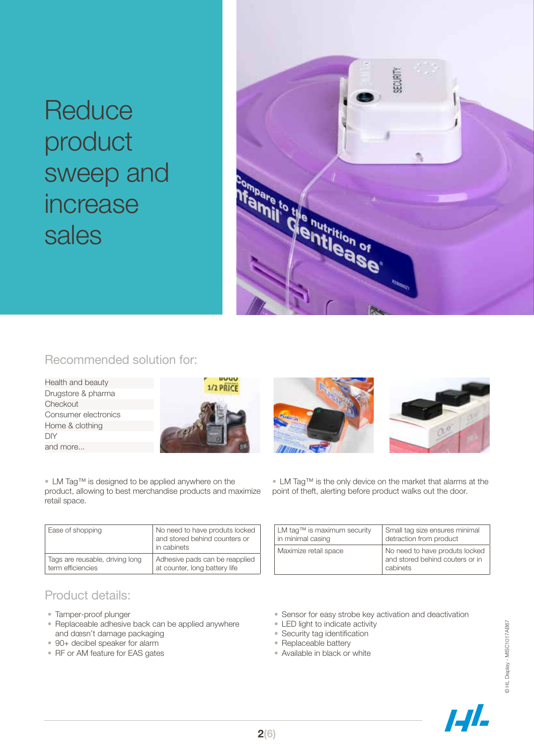# **Reduce** product sweep and increase sales



## Recommended solution for:

Health and beauty Drugstore & pharma **Checkout** Consumer electronics Home & clothing DIY and more...



• LM Tag™ is designed to be applied anywhere on the product, allowing to best merchandise products and maximize retail space.

| Ease of shopping                | No need to have produts locked<br>and stored behind counters or<br>in cabinets |
|---------------------------------|--------------------------------------------------------------------------------|
| Tags are reusable, driving long | Adhesive pads can be reapplied                                                 |
| term efficiencies               | at counter, long battery life                                                  |

## Product details:

- Tamper-proof plunger
- Replaceable adhesive back can be applied anywhere and doesn't damage packaging
- 90+ decibel speaker for alarm
- RF or AM feature for EAS gates





• LM Tag™ is the only device on the market that alarms at the point of theft, alerting before product walks out the door.

| $LM$ tag <sup>TM</sup> is maximum security | Small tag size ensures minimal                                                |
|--------------------------------------------|-------------------------------------------------------------------------------|
| in minimal casing                          | detraction from product                                                       |
| Maximize retail space                      | No need to have produts locked<br>and stored behind couters or in<br>cabinets |

• Sensor for easy strobe key activation and deactivation

- LED light to indicate activity
- Security tag identification
- Replaceable battery
- Available in black or white



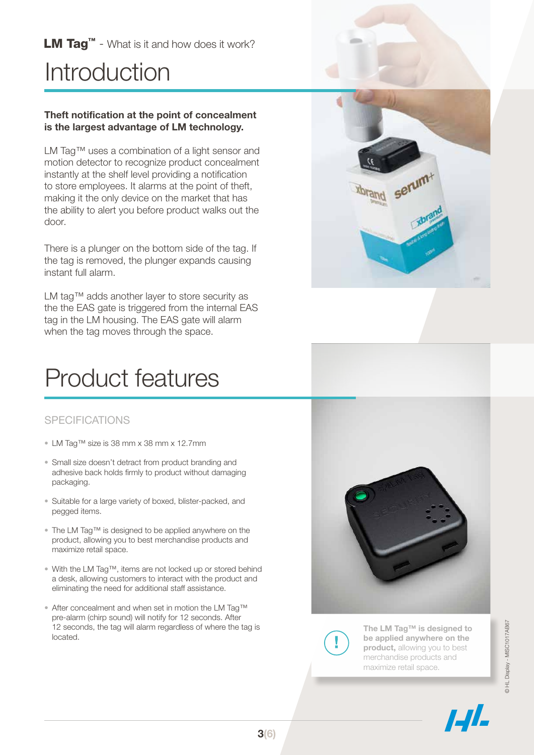LM Tag<sup>™</sup> - What is it and how does it work?

# **Introduction**

#### Theft notification at the point of concealment is the largest advantage of LM technology.

LM Tag™ uses a combination of a light sensor and motion detector to recognize product concealment instantly at the shelf level providing a notification to store employees. It alarms at the point of theft, making it the only device on the market that has the ability to alert you before product walks out the door.

There is a plunger on the bottom side of the tag. If the tag is removed, the plunger expands causing instant full alarm.

LM tag™ adds another layer to store security as the the EAS gate is triggered from the internal EAS tag in the LM housing. The EAS gate will alarm when the tag moves through the space.

## Product features

### **SPECIFICATIONS**

- LM Tag™ size is 38 mm x 38 mm x 12.7mm
- Small size doesn't detract from product branding and adhesive back holds firmly to product without damaging packaging.
- Suitable for a large variety of boxed, blister-packed, and pegged items.
- The LM Tag™ is designed to be applied anywhere on the product, allowing you to best merchandise products and maximize retail space.
- With the LM Tag™, items are not locked up or stored behind a desk, allowing customers to interact with the product and eliminating the need for additional staff assistance.
- After concealment and when set in motion the LM Tag™ pre-alarm (chirp sound) will notify for 12 seconds. After 12 seconds, the tag will alarm regardless of where the tag is located.







The LM Tag™ is designed to be applied anywhere on the product, allowing you to best merchandise products and maximize retail space.



© HL Display - MISC1017AB673 HL Display - MISC1017AB67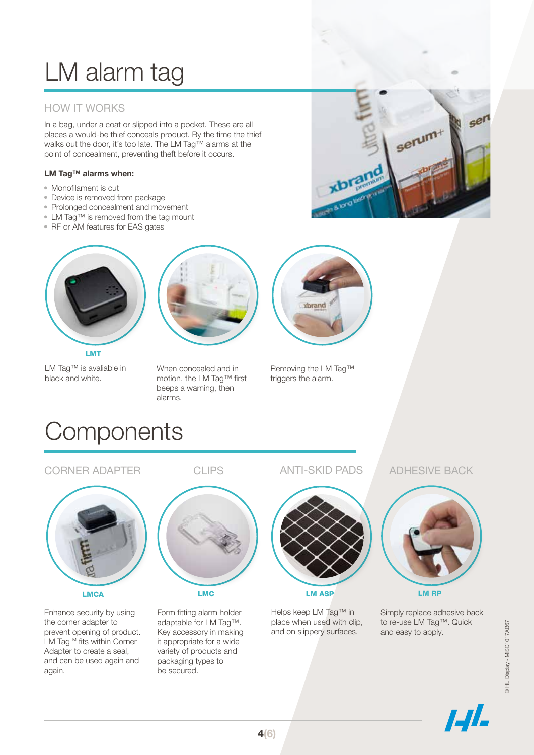# LM alarm tag

## HOW IT WORKS

In a bag, under a coat or slipped into a pocket. These are all places a would-be thief conceals product. By the time the thief walks out the door, it's too late. The LM Tag™ alarms at the point of concealment, preventing theft before it occurs.

#### LM Tag™ alarms when:

- Monofilament is cut
- Device is removed from package
- Prolonged concealment and movement
- LM Tag™ is removed from the tag mount
- RF or AM features for EAS gates



LM Tag™ is avaliable in black and white.



When concealed and in motion, the LM Tag™ first beeps a warning, then alarms.



Removing the LM Tag™ triggers the alarm.

## **Components**



CORNER ADAPTER

Enhance security by using the corner adapter to prevent opening of product. LM Tag™ fits within Corner Adapter to create a seal, and can be used again and again.

CLIPS



Form fitting alarm holder adaptable for LM Tag™. Key accessory in making it appropriate for a wide variety of products and packaging types to be secured.

ANTI-SKID PADS



LM ASP

Helps keep LM Tag™ in place when used with clip, and on slippery surfaces.

#### ADHESIVE BACK



Simply replace adhesive back to re-use LM Tag™. Quick and easy to apply.



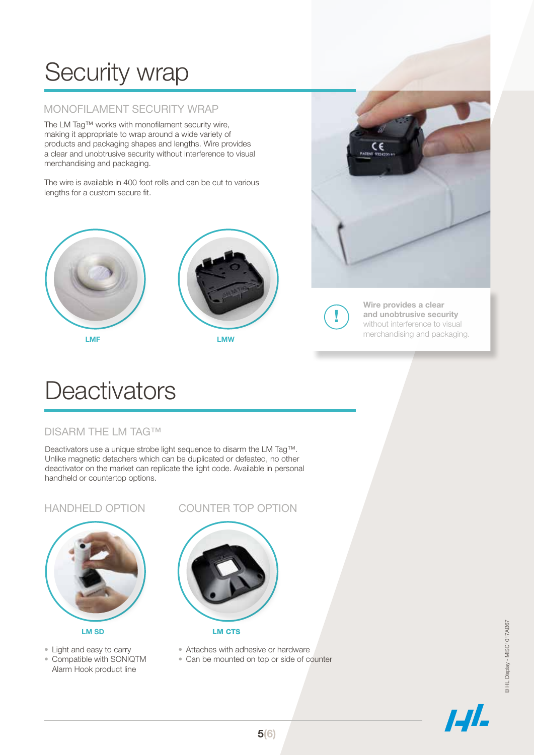# Security wrap

## MONOFILAMENT SECURITY WRAP

The LM Tag™ works with monofilament security wire, making it appropriate to wrap around a wide variety of products and packaging shapes and lengths. Wire provides a clear and unobtrusive security without interference to visual merchandising and packaging.

The wire is available in 400 foot rolls and can be cut to various lengths for a custom secure fit.





LMF LMW



Wire provides a clear and unobtrusive security without interference to visual merchandising and packaging.

## **Deactivators**

### DISARM THE LM TAG™

Deactivators use a unique strobe light sequence to disarm the LM Tag™. Unlike magnetic detachers which can be duplicated or defeated, no other deactivator on the market can replicate the light code. Available in personal handheld or countertop options.

#### HANDHELD OPTION



- Light and easy to carry
- Compatible with SONIQTM Alarm Hook product line

#### COUNTER TOP OPTION



- Attaches with adhesive or hardware
- Can be mounted on top or side of counter